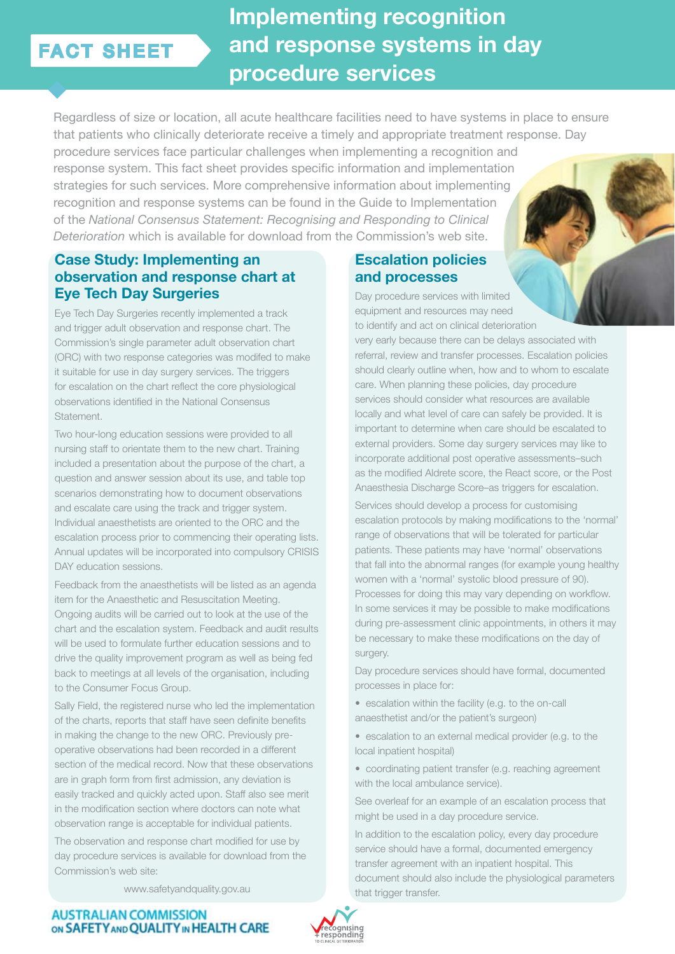# FACT SHEET

**Implementing recognition and response systems in day procedure services**

Regardless of size or location, all acute healthcare facilities need to have systems in place to ensure that patients who clinically deteriorate receive a timely and appropriate treatment response. Day procedure services face particular challenges when implementing a recognition and response system. This fact sheet provides specific information and implementation strategies for such services. More comprehensive information about implementing recognition and response systems can be found in the Guide to Implementation of the *National Consensus Statement: Recognising and Responding to Clinical Deterioration* which is available for download from the Commission's web site.

### **Case Study: Implementing an observation and response chart at Eye Tech Day Surgeries**

Eye Tech Day Surgeries recently implemented a track and trigger adult observation and response chart. The Commission's single parameter adult observation chart (ORC) with two response categories was modifed to make it suitable for use in day surgery services. The triggers for escalation on the chart reflect the core physiological observations identified in the National Consensus Statement.

Two hour-long education sessions were provided to all nursing staff to orientate them to the new chart. Training included a presentation about the purpose of the chart, a question and answer session about its use, and table top scenarios demonstrating how to document observations and escalate care using the track and trigger system. Individual anaesthetists are oriented to the ORC and the escalation process prior to commencing their operating lists. Annual updates will be incorporated into compulsory CRISIS DAY education sessions.

Feedback from the anaesthetists will be listed as an agenda item for the Anaesthetic and Resuscitation Meeting. Ongoing audits will be carried out to look at the use of the chart and the escalation system. Feedback and audit results will be used to formulate further education sessions and to drive the quality improvement program as well as being fed back to meetings at all levels of the organisation, including to the Consumer Focus Group.

Sally Field, the registered nurse who led the implementation of the charts, reports that staff have seen definite benefits in making the change to the new ORC. Previously preoperative observations had been recorded in a different section of the medical record. Now that these observations are in graph form from first admission, any deviation is easily tracked and quickly acted upon. Staff also see merit in the modification section where doctors can note what observation range is acceptable for individual patients.

The observation and response chart modified for use by day procedure services is available for download from the Commission's web site:

www.safetyandquality.gov.au

## **Escalation policies and processes**

Day procedure services with limited equipment and resources may need to identify and act on clinical deterioration

very early because there can be delays associated with referral, review and transfer processes. Escalation policies should clearly outline when, how and to whom to escalate care. When planning these policies, day procedure services should consider what resources are available locally and what level of care can safely be provided. It is important to determine when care should be escalated to external providers. Some day surgery services may like to incorporate additional post operative assessments–such as the modified Aldrete score, the React score, or the Post Anaesthesia Discharge Score–as triggers for escalation.

Services should develop a process for customising escalation protocols by making modifications to the 'normal' range of observations that will be tolerated for particular patients. These patients may have 'normal' observations that fall into the abnormal ranges (for example young healthy women with a 'normal' systolic blood pressure of 90). Processes for doing this may vary depending on workflow. In some services it may be possible to make modifications during pre-assessment clinic appointments, in others it may be necessary to make these modifications on the day of surgery.

Day procedure services should have formal, documented processes in place for:

• escalation within the facility (e.g. to the on-call anaesthetist and/or the patient's surgeon)

• escalation to an external medical provider (e.g. to the local inpatient hospital)

• coordinating patient transfer (e.g. reaching agreement with the local ambulance service).

See overleaf for an example of an escalation process that might be used in a day procedure service.

In addition to the escalation policy, every day procedure service should have a formal, documented emergency transfer agreement with an inpatient hospital. This document should also include the physiological parameters that trigger transfer.

**AUSTRALIAN COMMISSION** ON SAFETY AND QUALITY IN HEALTH CARE